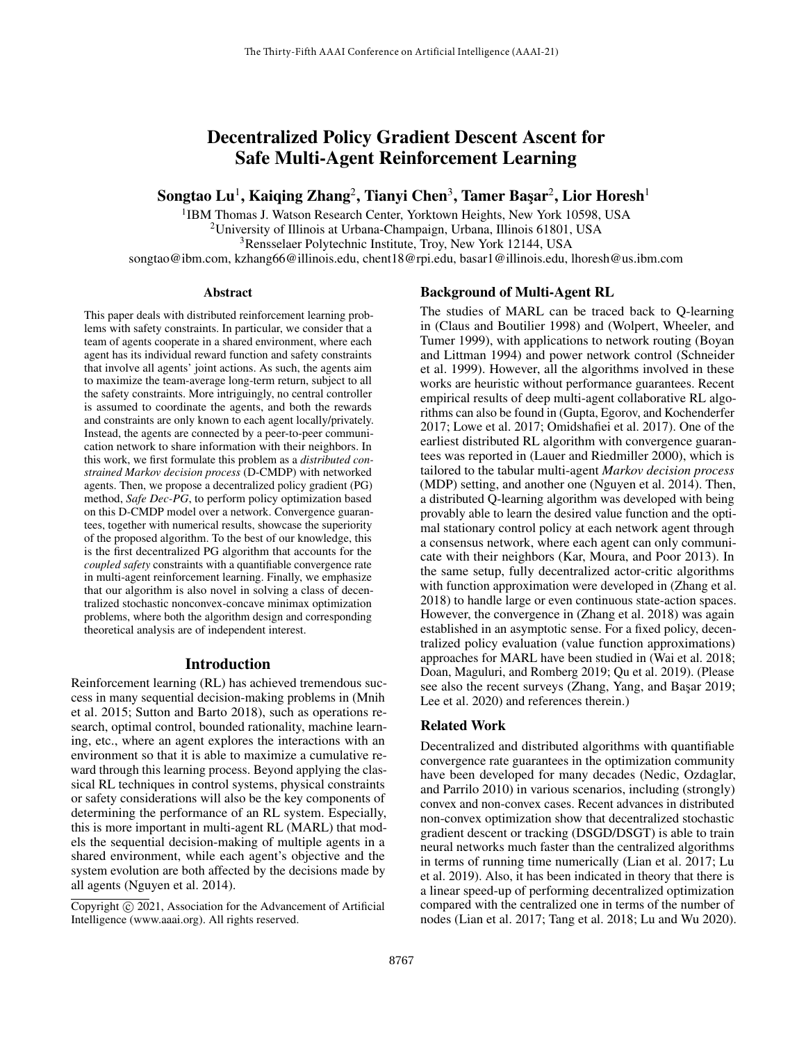# Decentralized Policy Gradient Descent Ascent for Safe Multi-Agent Reinforcement Learning

Songtao Lu $^1$ , Kaiqing Zhang $^2$ , Tianyi Chen $^3$ , Tamer Başar $^2$ , Lior Horesh $^1$ 

<sup>1</sup>IBM Thomas J. Watson Research Center, Yorktown Heights, New York 10598, USA

<sup>2</sup>University of Illinois at Urbana-Champaign, Urbana, Illinois 61801, USA

<sup>3</sup>Rensselaer Polytechnic Institute, Troy, New York 12144, USA

songtao@ibm.com, kzhang66@illinois.edu, chent18@rpi.edu, basar1@illinois.edu, lhoresh@us.ibm.com

### Abstract

This paper deals with distributed reinforcement learning problems with safety constraints. In particular, we consider that a team of agents cooperate in a shared environment, where each agent has its individual reward function and safety constraints that involve all agents' joint actions. As such, the agents aim to maximize the team-average long-term return, subject to all the safety constraints. More intriguingly, no central controller is assumed to coordinate the agents, and both the rewards and constraints are only known to each agent locally/privately. Instead, the agents are connected by a peer-to-peer communication network to share information with their neighbors. In this work, we first formulate this problem as a *distributed constrained Markov decision process* (D-CMDP) with networked agents. Then, we propose a decentralized policy gradient (PG) method, *Safe Dec-PG*, to perform policy optimization based on this D-CMDP model over a network. Convergence guarantees, together with numerical results, showcase the superiority of the proposed algorithm. To the best of our knowledge, this is the first decentralized PG algorithm that accounts for the *coupled safety* constraints with a quantifiable convergence rate in multi-agent reinforcement learning. Finally, we emphasize that our algorithm is also novel in solving a class of decentralized stochastic nonconvex-concave minimax optimization problems, where both the algorithm design and corresponding theoretical analysis are of independent interest.

## Introduction

Reinforcement learning (RL) has achieved tremendous success in many sequential decision-making problems in (Mnih et al. 2015; Sutton and Barto 2018), such as operations research, optimal control, bounded rationality, machine learning, etc., where an agent explores the interactions with an environment so that it is able to maximize a cumulative reward through this learning process. Beyond applying the classical RL techniques in control systems, physical constraints or safety considerations will also be the key components of determining the performance of an RL system. Especially, this is more important in multi-agent RL (MARL) that models the sequential decision-making of multiple agents in a shared environment, while each agent's objective and the system evolution are both affected by the decisions made by all agents (Nguyen et al. 2014).

#### Background of Multi-Agent RL

The studies of MARL can be traced back to Q-learning in (Claus and Boutilier 1998) and (Wolpert, Wheeler, and Tumer 1999), with applications to network routing (Boyan and Littman 1994) and power network control (Schneider et al. 1999). However, all the algorithms involved in these works are heuristic without performance guarantees. Recent empirical results of deep multi-agent collaborative RL algorithms can also be found in (Gupta, Egorov, and Kochenderfer 2017; Lowe et al. 2017; Omidshafiei et al. 2017). One of the earliest distributed RL algorithm with convergence guarantees was reported in (Lauer and Riedmiller 2000), which is tailored to the tabular multi-agent *Markov decision process* (MDP) setting, and another one (Nguyen et al. 2014). Then, a distributed Q-learning algorithm was developed with being provably able to learn the desired value function and the optimal stationary control policy at each network agent through a consensus network, where each agent can only communicate with their neighbors (Kar, Moura, and Poor 2013). In the same setup, fully decentralized actor-critic algorithms with function approximation were developed in (Zhang et al. 2018) to handle large or even continuous state-action spaces. However, the convergence in (Zhang et al. 2018) was again established in an asymptotic sense. For a fixed policy, decentralized policy evaluation (value function approximations) approaches for MARL have been studied in (Wai et al. 2018; Doan, Maguluri, and Romberg 2019; Qu et al. 2019). (Please see also the recent surveys (Zhang, Yang, and Başar 2019; Lee et al. 2020) and references therein.)

#### Related Work

Decentralized and distributed algorithms with quantifiable convergence rate guarantees in the optimization community have been developed for many decades (Nedic, Ozdaglar, and Parrilo 2010) in various scenarios, including (strongly) convex and non-convex cases. Recent advances in distributed non-convex optimization show that decentralized stochastic gradient descent or tracking (DSGD/DSGT) is able to train neural networks much faster than the centralized algorithms in terms of running time numerically (Lian et al. 2017; Lu et al. 2019). Also, it has been indicated in theory that there is a linear speed-up of performing decentralized optimization compared with the centralized one in terms of the number of nodes (Lian et al. 2017; Tang et al. 2018; Lu and Wu 2020).

Copyright (c) 2021, Association for the Advancement of Artificial Intelligence (www.aaai.org). All rights reserved.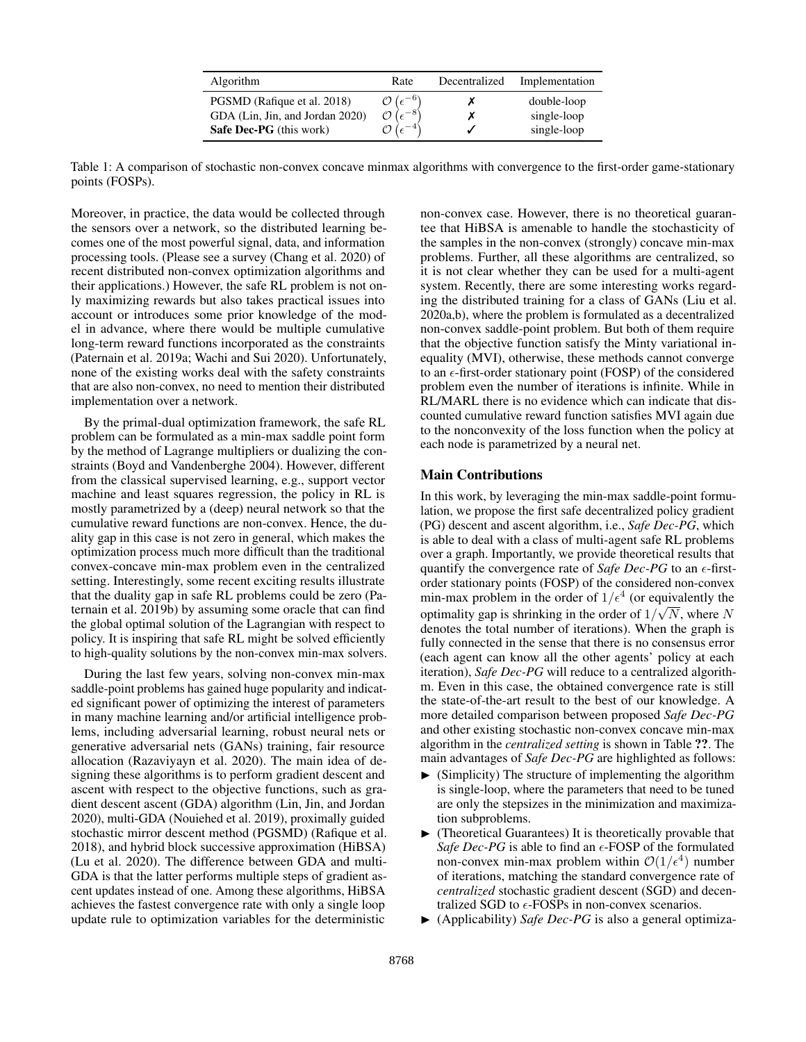| <b>Algorithm</b>                | Rate                                    | Decentralized | Implementation |
|---------------------------------|-----------------------------------------|---------------|----------------|
| PGSMD (Rafique et al. 2018)     | $\mathcal{O}\left(\epsilon^{-6}\right)$ |               | double-loop    |
| GDA (Lin, Jin, and Jordan 2020) | $\sqrt{e^{-8}}$                         |               | single-loop    |
| <b>Safe Dec-PG</b> (this work)  | $\epsilon$                              |               | single-loop    |

Table 1: A comparison of stochastic non-convex concave minmax algorithms with convergence to the first-order game-stationary points (FOSPs).

Moreover, in practice, the data would be collected through the sensors over a network, so the distributed learning becomes one of the most powerful signal, data, and information processing tools. (Please see a survey (Chang et al. 2020) of recent distributed non-convex optimization algorithms and their applications.) However, the safe RL problem is not only maximizing rewards but also takes practical issues into account or introduces some prior knowledge of the model in advance, where there would be multiple cumulative long-term reward functions incorporated as the constraints (Paternain et al. 2019a; Wachi and Sui 2020). Unfortunately, none of the existing works deal with the safety constraints that are also non-convex, no need to mention their distributed implementation over a network.

By the primal-dual optimization framework, the safe RL problem can be formulated as a min-max saddle point form by the method of Lagrange multipliers or dualizing the constraints (Boyd and Vandenberghe 2004). However, different from the classical supervised learning, e.g., support vector machine and least squares regression, the policy in RL is mostly parametrized by a (deep) neural network so that the cumulative reward functions are non-convex. Hence, the duality gap in this case is not zero in general, which makes the optimization process much more difficult than the traditional convex-concave min-max problem even in the centralized setting. Interestingly, some recent exciting results illustrate that the duality gap in safe RL problems could be zero (Paternain et al. 2019b) by assuming some oracle that can find the global optimal solution of the Lagrangian with respect to policy. It is inspiring that safe RL might be solved efficiently to high-quality solutions by the non-convex min-max solvers.

During the last few years, solving non-convex min-max saddle-point problems has gained huge popularity and indicated significant power of optimizing the interest of parameters in many machine learning and/or artificial intelligence problems, including adversarial learning, robust neural nets or generative adversarial nets (GANs) training, fair resource allocation (Razaviyayn et al. 2020). The main idea of designing these algorithms is to perform gradient descent and ascent with respect to the objective functions, such as gradient descent ascent (GDA) algorithm (Lin, Jin, and Jordan 2020), multi-GDA (Nouiehed et al. 2019), proximally guided stochastic mirror descent method (PGSMD) (Rafique et al. 2018), and hybrid block successive approximation (HiBSA) (Lu et al. 2020). The difference between GDA and multi-GDA is that the latter performs multiple steps of gradient ascent updates instead of one. Among these algorithms, HiBSA achieves the fastest convergence rate with only a single loop update rule to optimization variables for the deterministic

non-convex case. However, there is no theoretical guarantee that HiBSA is amenable to handle the stochasticity of the samples in the non-convex (strongly) concave min-max problems. Further, all these algorithms are centralized, so it is not clear whether they can be used for a multi-agent system. Recently, there are some interesting works regarding the distributed training for a class of GANs (Liu et al. 2020a,b), where the problem is formulated as a decentralized non-convex saddle-point problem. But both of them require that the objective function satisfy the Minty variational inequality (MVI), otherwise, these methods cannot converge to an  $\epsilon$ -first-order stationary point (FOSP) of the considered problem even the number of iterations is infinite. While in RL/MARL there is no evidence which can indicate that discounted cumulative reward function satisfies MVI again due to the nonconvexity of the loss function when the policy at each node is parametrized by a neural net.

## Main Contributions

In this work, by leveraging the min-max saddle-point formulation, we propose the first safe decentralized policy gradient (PG) descent and ascent algorithm, i.e., *Safe Dec-PG*, which is able to deal with a class of multi-agent safe RL problems over a graph. Importantly, we provide theoretical results that quantify the convergence rate of *Safe Dec-PG* to an  $\epsilon$ -firstorder stationary points (FOSP) of the considered non-convex min-max problem in the order of  $1/\epsilon^4$  (or equivalently the optimality gap is shrinking in the order of  $1/\sqrt{N}$ , where N denotes the total number of iterations). When the graph is fully connected in the sense that there is no consensus error (each agent can know all the other agents' policy at each iteration), *Safe Dec-PG* will reduce to a centralized algorithm. Even in this case, the obtained convergence rate is still the state-of-the-art result to the best of our knowledge. A more detailed comparison between proposed *Safe Dec-PG* and other existing stochastic non-convex concave min-max algorithm in the *centralized setting* is shown in Table ??. The main advantages of *Safe Dec-PG* are highlighted as follows:

- (Simplicity) The structure of implementing the algorithm is single-loop, where the parameters that need to be tuned are only the stepsizes in the minimization and maximization subproblems.
- $\blacktriangleright$  (Theoretical Guarantees) It is theoretically provable that *Safe Dec-PG* is able to find an  $\epsilon$ -FOSP of the formulated non-convex min-max problem within  $O(1/\epsilon^4)$  number of iterations, matching the standard convergence rate of *centralized* stochastic gradient descent (SGD) and decentralized SGD to  $\epsilon$ -FOSPs in non-convex scenarios.
- $\blacktriangleright$  (Applicability) *Safe Dec-PG* is also a general optimiza-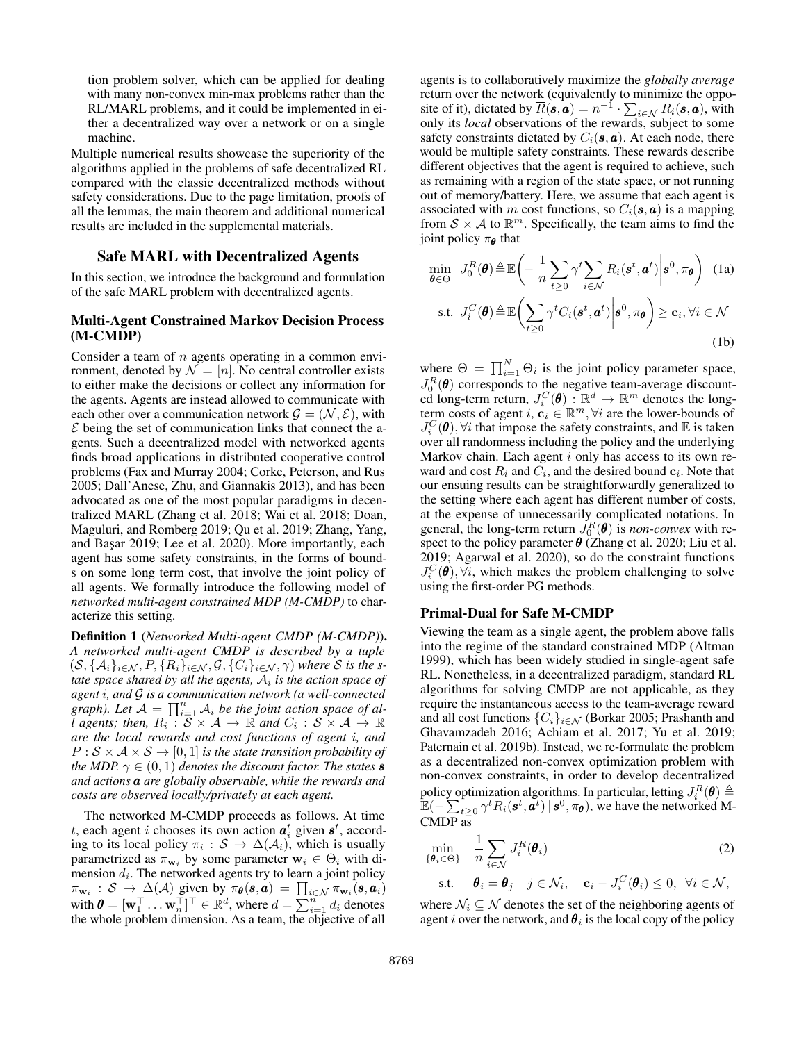tion problem solver, which can be applied for dealing with many non-convex min-max problems rather than the RL/MARL problems, and it could be implemented in either a decentralized way over a network or on a single machine.

Multiple numerical results showcase the superiority of the algorithms applied in the problems of safe decentralized RL compared with the classic decentralized methods without safety considerations. Due to the page limitation, proofs of all the lemmas, the main theorem and additional numerical results are included in the supplemental materials.

## Safe MARL with Decentralized Agents

In this section, we introduce the background and formulation of the safe MARL problem with decentralized agents.

## Multi-Agent Constrained Markov Decision Process (M-CMDP)

Consider a team of  $n$  agents operating in a common environment, denoted by  $\mathcal{N} = [n]$ . No central controller exists to either make the decisions or collect any information for the agents. Agents are instead allowed to communicate with each other over a communication network  $\mathcal{G} = (\mathcal{N}, \mathcal{E})$ , with  $\mathcal E$  being the set of communication links that connect the agents. Such a decentralized model with networked agents finds broad applications in distributed cooperative control problems (Fax and Murray 2004; Corke, Peterson, and Rus 2005; Dall'Anese, Zhu, and Giannakis 2013), and has been advocated as one of the most popular paradigms in decentralized MARL (Zhang et al. 2018; Wai et al. 2018; Doan, Maguluri, and Romberg 2019; Qu et al. 2019; Zhang, Yang, and Başar 2019; Lee et al. 2020). More importantly, each agent has some safety constraints, in the forms of bounds on some long term cost, that involve the joint policy of all agents. We formally introduce the following model of *networked multi-agent constrained MDP (M-CMDP)* to characterize this setting.

Definition 1 (*Networked Multi-agent CMDP (M-CMDP)*). *A networked multi-agent CMDP is described by a tuple*  $(S, \{A_i\}_{i\in\mathcal{N}}, P, \{R_i\}_{i\in\mathcal{N}}, \mathcal{G}, \{C_i\}_{i\in\mathcal{N}}, \gamma)$  where  $\mathcal S$  is the s*tate space shared by all the agents,* A<sup>i</sup> *is the action space of agent* i*, and* G *is a communication network (a well-connected* graph). Let  $\mathcal{A} = \prod_{i=1}^n \mathcal{A}_i$  be the joint action space of al*l* agents; then,  $R_i : S \times A \to \mathbb{R}$  and  $C_i : S \times A \to \mathbb{R}$ *are the local rewards and cost functions of agent* i*, and*  $P : \mathcal{S} \times \mathcal{A} \times \mathcal{S} \rightarrow [0, 1]$  *is the state transition probability of the MDP.*  $\gamma \in (0,1)$  *denotes the discount factor. The states* **s** *and actions* a *are globally observable, while the rewards and costs are observed locally/privately at each agent.*

The networked M-CMDP proceeds as follows. At time t, each agent i chooses its own action  $a_i^t$  given  $s^t$ , according to its local policy  $\pi_i : S \to \Delta(\mathcal{A}_i)$ , which is usually parametrized as  $\pi_{w_i}$  by some parameter  $w_i \in \Theta_i$  with dimension  $d_i$ . The networked agents try to learn a joint policy  $\pi_{\mathbf{w}_i} : \mathcal{S} \to \Delta(\mathcal{A})$  given by  $\pi_{\theta}(\mathbf{s}, \mathbf{a}) = \prod_{i \in \mathcal{N}} \pi_{\mathbf{w}_i}(\mathbf{s}, \mathbf{a}_i)$ with  $\boldsymbol{\theta} = [\mathbf{w}_1^\top \dots \mathbf{w}_n^\top]^\top \in \mathbb{R}^d$ , where  $d = \sum_{i=1}^n d_i$  denotes the whole problem dimension. As a team, the objective of all

agents is to collaboratively maximize the *globally average* return over the network (equivalently to minimize the opposite of it), dictated by  $\overline{R}(\mathbf{s}, \mathbf{a}) = n^{-1} \cdot \sum_{i \in \mathcal{N}} R_i(\mathbf{s}, \mathbf{a})$ , with only its *local* observations of the rewards, subject to some safety constraints dictated by  $C_i(\mathbf{s}, \mathbf{a})$ . At each node, there would be multiple safety constraints. These rewards describe different objectives that the agent is required to achieve, such as remaining with a region of the state space, or not running out of memory/battery. Here, we assume that each agent is associated with m cost functions, so  $C_i(\mathbf{s}, \mathbf{a})$  is a mapping from  $S \times A$  to  $\mathbb{R}^m$ . Specifically, the team aims to find the joint policy  $\pi_{\theta}$  that

$$
\min_{\boldsymbol{\theta} \in \Theta} J_0^R(\boldsymbol{\theta}) \triangleq \mathbb{E}\bigg(-\frac{1}{n}\sum_{t\geq 0} \gamma^t \sum_{i \in \mathcal{N}} R_i(\boldsymbol{s}^t, \boldsymbol{a}^t) \bigg| \boldsymbol{s}^0, \pi_{\boldsymbol{\theta}}\bigg) \tag{1a}
$$
\n
$$
\text{s.t. } J_i^C(\boldsymbol{\theta}) \triangleq \mathbb{E}\bigg(\sum_{t\geq 0} \gamma^t C_i(\boldsymbol{s}^t, \boldsymbol{a}^t) \bigg| \boldsymbol{s}^0, \pi_{\boldsymbol{\theta}}\bigg) \geq \mathbf{c}_i, \forall i \in \mathcal{N} \tag{1b}
$$

where  $\Theta = \prod_{i=1}^{N} \Theta_i$  is the joint policy parameter space,  $J_0^R(\theta)$  corresponds to the negative team-average discounted long-term return,  $J_i^C(\boldsymbol{\theta}) : \mathbb{R}^d \to \mathbb{R}^m$  denotes the longterm costs of agent i,  $c_i \in \mathbb{R}^m$ ,  $\forall i$  are the lower-bounds of  $J_i^C(\boldsymbol{\theta}), \forall i$  that impose the safety constraints, and  $\mathbb E$  is taken over all randomness including the policy and the underlying Markov chain. Each agent  $i$  only has access to its own reward and cost  $R_i$  and  $C_i$ , and the desired bound  $c_i$ . Note that our ensuing results can be straightforwardly generalized to the setting where each agent has different number of costs, at the expense of unnecessarily complicated notations. In general, the long-term return  $J_0^R(\theta)$  is *non-convex* with respect to the policy parameter  $\theta$  (Zhang et al. 2020; Liu et al. 2019; Agarwal et al. 2020), so do the constraint functions  $J_i^C(\boldsymbol{\theta}), \forall i$ , which makes the problem challenging to solve using the first-order PG methods.

#### Primal-Dual for Safe M-CMDP

Viewing the team as a single agent, the problem above falls into the regime of the standard constrained MDP (Altman 1999), which has been widely studied in single-agent safe RL. Nonetheless, in a decentralized paradigm, standard RL algorithms for solving CMDP are not applicable, as they require the instantaneous access to the team-average reward and all cost functions  $\{C_i\}_{i\in\mathcal{N}}$  (Borkar 2005; Prashanth and Ghavamzadeh 2016; Achiam et al. 2017; Yu et al. 2019; Paternain et al. 2019b). Instead, we re-formulate the problem as a decentralized non-convex optimization problem with non-convex constraints, in order to develop decentralized policy optimization algorithms. In particular, letting  $J_i^R(\pmb{\theta}) \triangleq$  $\mathbb{E}(-\sum_{t\geq 0}^{t} \gamma^t R_i(\bm{s}^t, \bm{a}^t) | \bm{s}^0, \pi_{\bm{\theta}}),$  we have the networked M-CMDP as

$$
\min_{\{\boldsymbol{\theta}_i \in \Theta\}} \quad \frac{1}{n} \sum_{i \in \mathcal{N}} J_i^R(\boldsymbol{\theta}_i) \tag{2}
$$

$$
\text{s.t.} \quad \boldsymbol{\theta}_i = \boldsymbol{\theta}_j \quad j \in \mathcal{N}_i, \quad \mathbf{c}_i - J_i^C(\boldsymbol{\theta}_i) \leq 0, \ \forall i \in \mathcal{N},
$$

where  $\mathcal{N}_i \subseteq \mathcal{N}$  denotes the set of the neighboring agents of agent  $i$  over the network, and  $\boldsymbol{\theta}_i$  is the local copy of the policy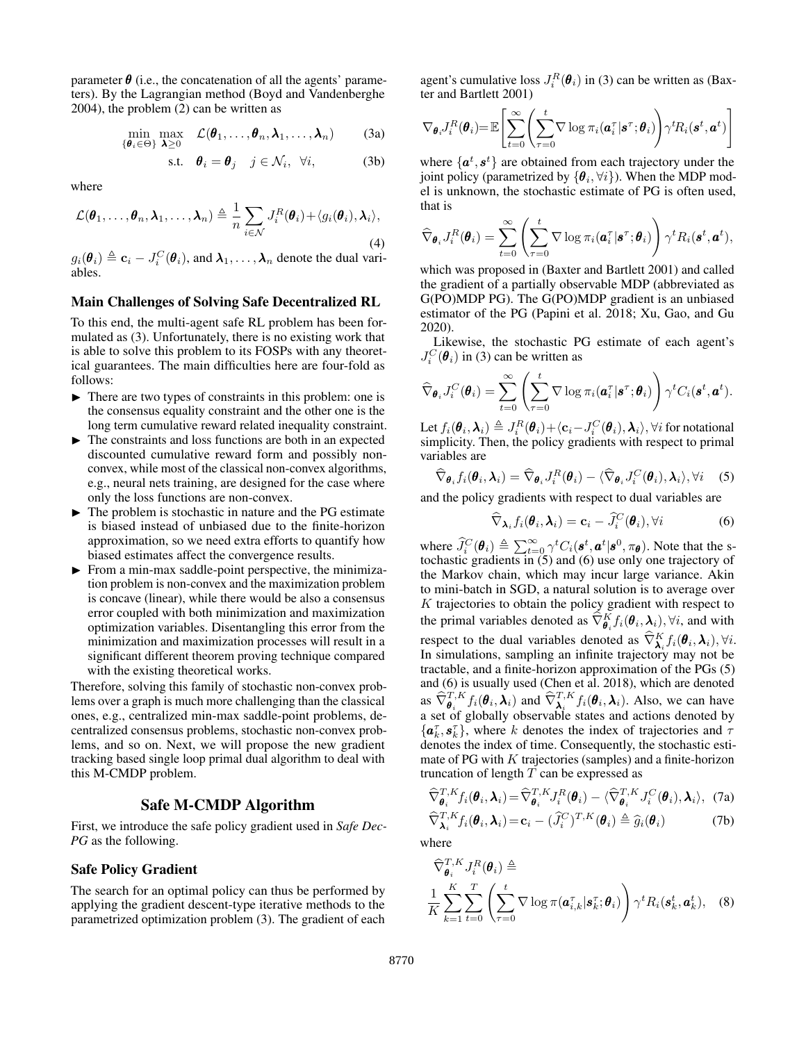parameter  $\theta$  (i.e., the concatenation of all the agents' parameters). By the Lagrangian method (Boyd and Vandenberghe 2004), the problem (2) can be written as

$$
\min_{\{\boldsymbol{\theta}_i \in \Theta\}} \max_{\boldsymbol{\lambda} \geq 0} \quad \mathcal{L}(\boldsymbol{\theta}_1, \dots, \boldsymbol{\theta}_n, \boldsymbol{\lambda}_1, \dots, \boldsymbol{\lambda}_n) \tag{3a}
$$

$$
\text{s.t.} \quad \boldsymbol{\theta}_i = \boldsymbol{\theta}_j \quad j \in \mathcal{N}_i, \ \forall i,
$$

where

$$
\mathcal{L}(\boldsymbol{\theta}_1,\ldots,\boldsymbol{\theta}_n,\boldsymbol{\lambda}_1,\ldots,\boldsymbol{\lambda}_n) \triangleq \frac{1}{n} \sum_{i \in \mathcal{N}} J_i^R(\boldsymbol{\theta}_i) + \langle g_i(\boldsymbol{\theta}_i),\boldsymbol{\lambda}_i \rangle,
$$
\n(4)

 $g_i(\theta_i) \triangleq \mathbf{c}_i - J_i^C(\theta_i)$ , and  $\boldsymbol{\lambda}_1, \ldots, \boldsymbol{\lambda}_n$  denote the dual variables.

# Main Challenges of Solving Safe Decentralized RL

To this end, the multi-agent safe RL problem has been formulated as (3). Unfortunately, there is no existing work that is able to solve this problem to its FOSPs with any theoretical guarantees. The main difficulties here are four-fold as follows:

- $\triangleright$  There are two types of constraints in this problem: one is the consensus equality constraint and the other one is the long term cumulative reward related inequality constraint.
- $\blacktriangleright$  The constraints and loss functions are both in an expected discounted cumulative reward form and possibly nonconvex, while most of the classical non-convex algorithms, e.g., neural nets training, are designed for the case where only the loss functions are non-convex.
- $\triangleright$  The problem is stochastic in nature and the PG estimate is biased instead of unbiased due to the finite-horizon approximation, so we need extra efforts to quantify how biased estimates affect the convergence results.
- $\blacktriangleright$  From a min-max saddle-point perspective, the minimization problem is non-convex and the maximization problem is concave (linear), while there would be also a consensus error coupled with both minimization and maximization optimization variables. Disentangling this error from the minimization and maximization processes will result in a significant different theorem proving technique compared with the existing theoretical works.

Therefore, solving this family of stochastic non-convex problems over a graph is much more challenging than the classical ones, e.g., centralized min-max saddle-point problems, decentralized consensus problems, stochastic non-convex problems, and so on. Next, we will propose the new gradient tracking based single loop primal dual algorithm to deal with this M-CMDP problem.

# Safe M-CMDP Algorithm

First, we introduce the safe policy gradient used in *Safe Dec-PG* as the following.

## Safe Policy Gradient

The search for an optimal policy can thus be performed by applying the gradient descent-type iterative methods to the parametrized optimization problem (3). The gradient of each

agent's cumulative loss  $J_i^R(\theta_i)$  in (3) can be written as (Baxter and Bartlett 2001)

$$
\nabla_{\boldsymbol{\theta}_i} J_i^R(\boldsymbol{\theta}_i) = \mathbb{E}\left[\sum_{t=0}^{\infty} \left(\sum_{\tau=0}^t \nabla \log \pi_i(\boldsymbol{a}_i^{\tau}|\boldsymbol{s}^{\tau}; \boldsymbol{\theta}_i)\right) \gamma^t R_i(\boldsymbol{s}^t, \boldsymbol{a}^t)\right]
$$

where  $\{a^t, s^t\}$  are obtained from each trajectory under the joint policy (parametrized by  $\{\boldsymbol{\theta}_i, \forall i\}$ ). When the MDP model is unknown, the stochastic estimate of PG is often used, that is

$$
\widehat{\nabla}_{\boldsymbol{\theta}_i} J_i^R(\boldsymbol{\theta}_i) = \sum_{t=0}^{\infty} \left( \sum_{\tau=0}^t \nabla \log \pi_i(\boldsymbol{a}_i^{\tau} | \boldsymbol{s}^{\tau}; \boldsymbol{\theta}_i) \right) \gamma^t R_i(\boldsymbol{s}^t, \boldsymbol{a}^t),
$$

which was proposed in (Baxter and Bartlett 2001) and called the gradient of a partially observable MDP (abbreviated as G(PO)MDP PG). The G(PO)MDP gradient is an unbiased estimator of the PG (Papini et al. 2018; Xu, Gao, and Gu 2020).

Likewise, the stochastic PG estimate of each agent's  $J_i^C(\theta_i)$  in (3) can be written as

$$
\widehat{\nabla}_{\boldsymbol{\theta}_i} J_i^C(\boldsymbol{\theta}_i) = \sum_{t=0}^{\infty} \left( \sum_{\tau=0}^t \nabla \log \pi_i(\boldsymbol{a}_i^{\tau} | \boldsymbol{s}^{\tau}; \boldsymbol{\theta}_i) \right) \gamma^t C_i(\boldsymbol{s}^t, \boldsymbol{a}^t).
$$

Let  $f_i(\bm{\theta}_i, \bm{\lambda}_i) \triangleq J_i^R(\bm{\theta}_i) \!+\! \langle \mathbf{c}_i \!-\! J_i^C(\bm{\theta}_i), \bm{\lambda}_i \rangle, \forall i$  for notational simplicity. Then, the policy gradients with respect to primal variables are

$$
\widehat{\nabla}_{\boldsymbol{\theta}_i} f_i(\boldsymbol{\theta}_i, \boldsymbol{\lambda}_i) = \widehat{\nabla}_{\boldsymbol{\theta}_i} J_i^R(\boldsymbol{\theta}_i) - \langle \widehat{\nabla}_{\boldsymbol{\theta}_i} J_i^C(\boldsymbol{\theta}_i), \boldsymbol{\lambda}_i \rangle, \forall i \quad (5)
$$

and the policy gradients with respect to dual variables are

$$
\widehat{\nabla}_{\boldsymbol{\lambda}_i} f_i(\boldsymbol{\theta}_i, \boldsymbol{\lambda}_i) = \mathbf{c}_i - \widehat{J}_i^C(\boldsymbol{\theta}_i), \forall i
$$
 (6)

where  $\hat{J}_i^C(\theta_i) \triangleq \sum_{t=0}^{\infty} \gamma^t C_i(\mathbf{s}^t, \mathbf{a}^t | \mathbf{s}^0, \pi_{\theta})$ . Note that the stochastic gradients in (5) and (6) use only one trajectory of the Markov chain, which may incur large variance. Akin to mini-batch in SGD, a natural solution is to average over  $K$  trajectories to obtain the policy gradient with respect to the primal variables denoted as  $\widehat{\nabla}^K_{\theta_i} f_i(\theta_i, \lambda_i)$ ,  $\forall i$ , and with respect to the dual variables denoted as  $\hat{\nabla}^{K}_{\pmb{\lambda}} f_i(\pmb{\theta}_i, \pmb{\lambda}_i), \forall i$ . In simulations, sampling an infinite trajectory may not be tractable, and a finite-horizon approximation of the PGs (5) and (6) is usually used (Chen et al. 2018), which are denoted as  $\widehat{\nabla}^{T,K}_{\theta_i} f_i(\theta_i, \lambda_i)$  and  $\widehat{\nabla}^{T,K}_{\lambda_i} f_i(\theta_i, \lambda_i)$ . Also, we can have a set of globally observable states and actions denoted by  $\{\boldsymbol{a}_k^{\tau}, \boldsymbol{s}_k^{\tau}\}\$ , where k denotes the index of trajectories and  $\tau$ denotes the index of time. Consequently, the stochastic estimate of PG with  $K$  trajectories (samples) and a finite-horizon truncation of length  $T$  can be expressed as

$$
\widehat{\nabla}_{\boldsymbol{\theta}_i}^{T,K} f_i(\boldsymbol{\theta}_i, \boldsymbol{\lambda}_i) = \widehat{\nabla}_{\boldsymbol{\theta}_i}^{T,K} J_i^R(\boldsymbol{\theta}_i) - \langle \widehat{\nabla}_{\boldsymbol{\theta}_i}^{T,K} J_i^C(\boldsymbol{\theta}_i), \boldsymbol{\lambda}_i \rangle, \tag{7a}
$$

$$
\widehat{\nabla}_{\boldsymbol{\lambda}_{i}}^{T,K} f_{i}(\boldsymbol{\theta}_{i},\boldsymbol{\lambda}_{i}) = \mathbf{c}_{i} - (\widehat{J}_{i}^{C})^{T,K}(\boldsymbol{\theta}_{i}) \triangleq \widehat{g}_{i}(\boldsymbol{\theta}_{i})
$$
(7b)

where

$$
\widehat{\nabla}_{\boldsymbol{\theta}_i}^{T,K} J_i^R(\boldsymbol{\theta}_i) \triangleq \frac{1}{K} \sum_{k=1}^K \sum_{t=0}^T \left( \sum_{\tau=0}^t \nabla \log \pi(\boldsymbol{a}_{i,k}^\tau | \boldsymbol{s}_k^\tau; \boldsymbol{\theta}_i) \right) \gamma^t R_i(\boldsymbol{s}_k^t, \boldsymbol{a}_k^t), \quad (8)
$$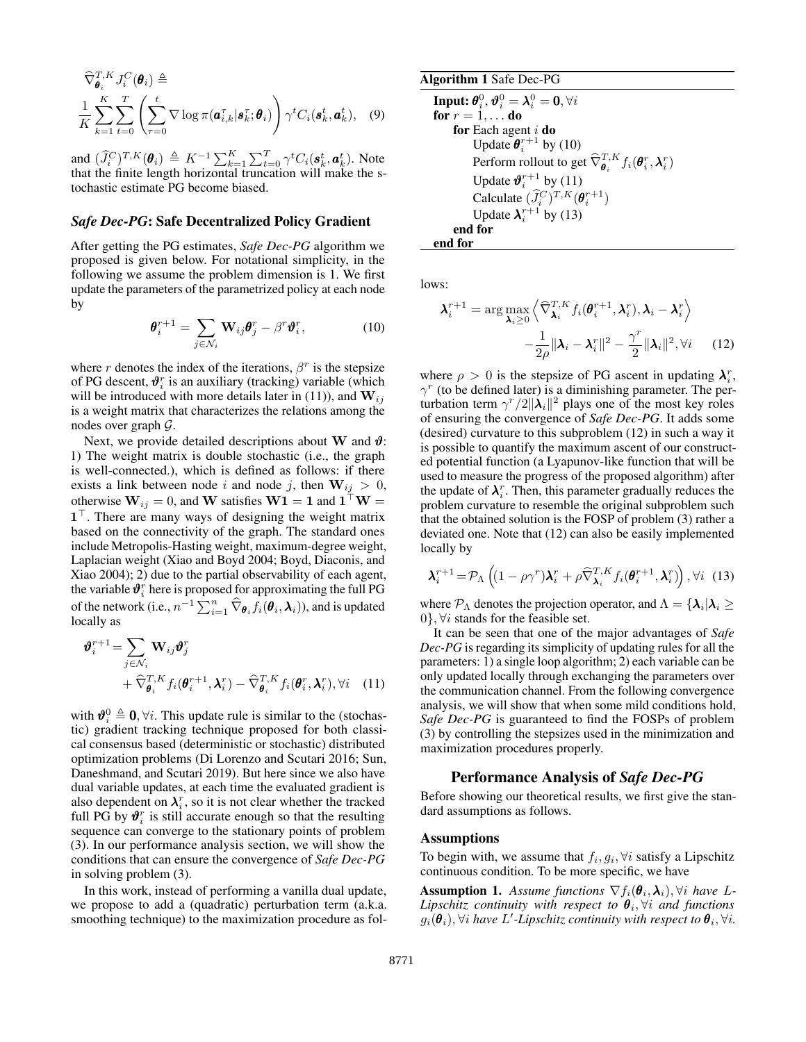$$
\widehat{\nabla}_{\boldsymbol{\theta}_i}^{T,K} J_i^C(\boldsymbol{\theta}_i) \triangleq \frac{1}{K} \sum_{k=1}^K \sum_{t=0}^T \left( \sum_{\tau=0}^t \nabla \log \pi(\boldsymbol{a}_{i,k}^{\tau} | \boldsymbol{s}_k^{\tau}; \boldsymbol{\theta}_i) \right) \gamma^t C_i(\boldsymbol{s}_k^t, \boldsymbol{a}_k^t), \quad (9)
$$

and  $(\widehat{J}_i^C)^{T,K}(\theta_i) \triangleq K^{-1} \sum_{k=1}^K \sum_{t=0}^T \gamma^t C_i(\mathbf{s}_k^t, \mathbf{a}_k^t)$ . Note that the finite length horizontal truncation will make the stochastic estimate PG become biased.

#### *Safe Dec-PG*: Safe Decentralized Policy Gradient

After getting the PG estimates, *Safe Dec-PG* algorithm we proposed is given below. For notational simplicity, in the following we assume the problem dimension is 1. We first update the parameters of the parametrized policy at each node by

$$
\boldsymbol{\theta}_i^{r+1} = \sum_{j \in \mathcal{N}_i} \mathbf{W}_{ij} \boldsymbol{\theta}_j^r - \beta^r \boldsymbol{\vartheta}_i^r, \qquad (10)
$$

where r denotes the index of the iterations,  $\beta^r$  is the stepsize of PG descent,  $\pmb{\vartheta}_{i}^{r}$  is an auxiliary (tracking) variable (which will be introduced with more details later in (11)), and  $W_{ij}$ is a weight matrix that characterizes the relations among the nodes over graph G.

Next, we provide detailed descriptions about W and  $\vartheta$ : 1) The weight matrix is double stochastic (i.e., the graph is well-connected.), which is defined as follows: if there exists a link between node i and node j, then  $W_{ij} > 0$ , otherwise  $\mathbf{W}_{ij} = 0$ , and  $\mathbf{W}$  satisfies  $\mathbf{W1} = \mathbf{1}$  and  $\mathbf{1}^\top \mathbf{W} =$  $1^{\top}$ . There are many ways of designing the weight matrix based on the connectivity of the graph. The standard ones include Metropolis-Hasting weight, maximum-degree weight, Laplacian weight (Xiao and Boyd 2004; Boyd, Diaconis, and Xiao 2004); 2) due to the partial observability of each agent, the variable  $\pmb{\vartheta}_i^r$  here is proposed for approximating the full PG of the network (i.e.,  $n^{-1} \sum_{i=1}^{n} \widehat{\nabla}_{\theta_i} f_i(\theta_i, \lambda_i)$ ), and is updated locally as

$$
\boldsymbol{\vartheta}_{i}^{r+1} = \sum_{j \in \mathcal{N}_{i}} \mathbf{W}_{ij} \boldsymbol{\vartheta}_{j}^{r} + \widehat{\nabla}_{\boldsymbol{\theta}_{i}}^{T,K} f_{i}(\boldsymbol{\theta}_{i}^{r+1}, \boldsymbol{\lambda}_{i}^{r}) - \widehat{\nabla}_{\boldsymbol{\theta}_{i}}^{T,K} f_{i}(\boldsymbol{\theta}_{i}^{r}, \boldsymbol{\lambda}_{i}^{r}), \forall i \quad (11)
$$

with  $\mathbf{\vartheta}_{i}^{0} \triangleq \mathbf{0}, \forall i$ . This update rule is similar to the (stochastic) gradient tracking technique proposed for both classical consensus based (deterministic or stochastic) distributed optimization problems (Di Lorenzo and Scutari 2016; Sun, Daneshmand, and Scutari 2019). But here since we also have dual variable updates, at each time the evaluated gradient is also dependent on  $\lambda_i^r$ , so it is not clear whether the tracked full PG by  $\mathbf{\vartheta}_i^r$  is still accurate enough so that the resulting sequence can converge to the stationary points of problem (3). In our performance analysis section, we will show the conditions that can ensure the convergence of *Safe Dec-PG* in solving problem (3).

In this work, instead of performing a vanilla dual update, we propose to add a (quadratic) perturbation term (a.k.a. smoothing technique) to the maximization procedure as fol-

Algorithm 1 Safe Dec-PG  
\nInput: 
$$
\theta_i^0
$$
,  $\theta_i^0 = \lambda_i^0 = 0$ ,  $\forall i$   
\nfor  $r = 1, ...$  do  
\nfor Each agent *i* do  
\nUpdate  $\theta_i^{r+1}$  by (10)  
\nPerform rollout to get  $\widehat{\nabla}_{\theta_i}^{T,K} f_i(\theta_i^r, \lambda_i^r)$   
\nUpdate  $\theta_i^{r+1}$  by (11)  
\nCalculate  $(\widehat{J}_i^C)^{T,K}(\theta_i^{r+1})$   
\nUpdate  $\lambda_i^{r+1}$  by (13)  
\nend for  
\nend for

lows:

$$
\lambda_i^{r+1} = \arg \max_{\lambda_i \ge 0} \left\langle \widehat{\nabla}^{T,K}_{\lambda_i} f_i(\theta_i^{r+1}, \lambda_i^r), \lambda_i - \lambda_i^r \right\rangle -\frac{1}{2\rho} \|\lambda_i - \lambda_i^r\|^2 - \frac{\gamma^r}{2} \|\lambda_i\|^2, \forall i
$$
 (12)

where  $\rho > 0$  is the stepsize of PG ascent in updating  $\lambda_i^r$ ,  $\gamma^r$  (to be defined later) is a diminishing parameter. The perturbation term  $\gamma^{r}/2\Vert \lambda_i \Vert^2$  plays one of the most key roles of ensuring the convergence of *Safe Dec-PG*. It adds some (desired) curvature to this subproblem (12) in such a way it is possible to quantify the maximum ascent of our constructed potential function (a Lyapunov-like function that will be used to measure the progress of the proposed algorithm) after the update of  $\lambda_i^r$ . Then, this parameter gradually reduces the problem curvature to resemble the original subproblem such that the obtained solution is the FOSP of problem (3) rather a deviated one. Note that (12) can also be easily implemented locally by

$$
\boldsymbol{\lambda}_i^{r+1} = \mathcal{P}_{\Lambda} \left( (1 - \rho \gamma^r) \boldsymbol{\lambda}_i^r + \rho \widehat{\nabla}^{T,K}_{\boldsymbol{\lambda}_i} f_i(\boldsymbol{\theta}_i^{r+1}, \boldsymbol{\lambda}_i^r) \right), \forall i \quad (13)
$$

where  $\mathcal{P}_{\Lambda}$  denotes the projection operator, and  $\Lambda=\{\boldsymbol{\lambda}_i|\boldsymbol{\lambda}_i\geq 0\}$ 0,  $\forall i$  stands for the feasible set.

It can be seen that one of the major advantages of *Safe Dec-PG* is regarding its simplicity of updating rules for all the parameters: 1) a single loop algorithm; 2) each variable can be only updated locally through exchanging the parameters over the communication channel. From the following convergence analysis, we will show that when some mild conditions hold, *Safe Dec-PG* is guaranteed to find the FOSPs of problem (3) by controlling the stepsizes used in the minimization and maximization procedures properly.

### Performance Analysis of *Safe Dec-PG*

Before showing our theoretical results, we first give the standard assumptions as follows.

#### Assumptions

To begin with, we assume that  $f_i, g_i, \forall i$  satisfy a Lipschitz continuous condition. To be more specific, we have

**Assumption 1.** Assume functions  $\nabla f_i(\boldsymbol{\theta}_i, \boldsymbol{\lambda}_i), \forall i$  have L- $Lipschitz$  continuity with respect to  $\boldsymbol{\theta}_i, \forall i$  and functions  $g_i(\pmb{\theta}_i), \forall i$  have  $L'$ -Lipschitz continuity with respect to  $\pmb{\theta}_i, \forall i.$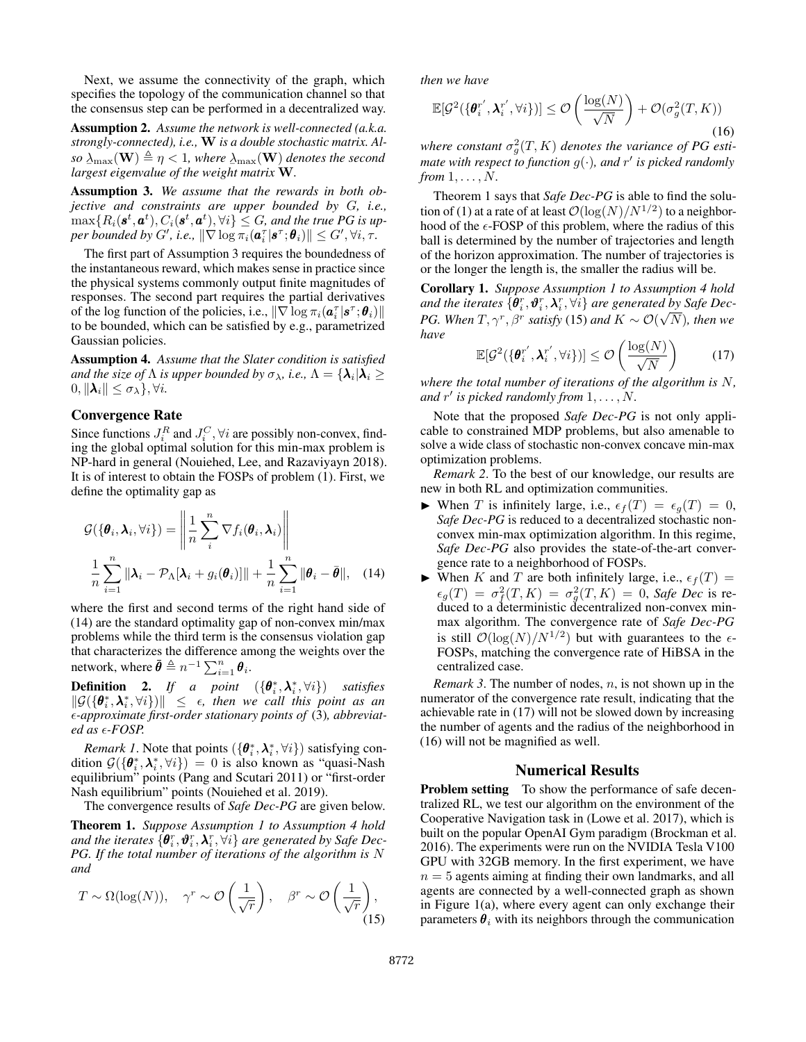Next, we assume the connectivity of the graph, which specifies the topology of the communication channel so that the consensus step can be performed in a decentralized way.

Assumption 2. *Assume the network is well-connected (a.k.a. strongly-connected), i.e.,* W *is a double stochastic matrix. Al* $so\ \underline{\lambda}_{\max}(\mathbf{W})\triangleq\eta < 1,$  where  $\underline{\lambda}_{\max}(\mathbf{W})$  denotes the second  $\lim_{n \to \infty}$   $\lim_{n \to \infty}$   $\lim_{n \to \infty}$   $\lim_{n \to \infty}$   $\lim_{n \to \infty}$   $\lim_{n \to \infty}$   $\lim_{n \to \infty}$ 

Assumption 3. *We assume that the rewards in both objective and constraints are upper bounded by* G*, i.e.,*  $\max\{R_i(\bm{s}^t,\bm{a}^t),C_i(\bm{s}^t,\bm{a}^t),\forall i\}\leq G$ , and the true PG is up- $\textit{per bounded by } G', \textit{i.e., } \|\nabla \log \pi_i(\boldsymbol{a}_i^{\tau}|\boldsymbol{s}^{\tau}; \boldsymbol{\theta}_i)\| \leq G', \forall i, \tau.$ 

The first part of Assumption 3 requires the boundedness of the instantaneous reward, which makes sense in practice since the physical systems commonly output finite magnitudes of responses. The second part requires the partial derivatives of the log function of the policies, i.e.,  $\|\nabla \log \pi_i(\boldsymbol{a}_i^{\tau} | \boldsymbol{s}^{\tau}; \boldsymbol{\theta}_i)\|$ to be bounded, which can be satisfied by e.g., parametrized Gaussian policies.

Assumption 4. *Assume that the Slater condition is satisfied* and the size of  $\Lambda$  is upper bounded by  $\sigma_\lambda$ , i.e.,  $\Lambda=\{\boldsymbol{\lambda}_i|\boldsymbol{\lambda}_i\geq 0\}$  $0, \|\boldsymbol{\lambda}_i\| \leq \sigma_{\lambda}\}, \forall i.$ 

# Convergence Rate

Since functions  $J_i^R$  and  $J_i^C$ ,  $\forall i$  are possibly non-convex, finding the global optimal solution for this min-max problem is NP-hard in general (Nouiehed, Lee, and Razaviyayn 2018). It is of interest to obtain the FOSPs of problem (1). First, we define the optimality gap as

$$
\mathcal{G}(\{\boldsymbol{\theta}_i, \boldsymbol{\lambda}_i, \forall i\}) = \left\| \frac{1}{n} \sum_{i}^{n} \nabla f_i(\boldsymbol{\theta}_i, \boldsymbol{\lambda}_i) \right\|
$$
  

$$
\frac{1}{n} \sum_{i=1}^{n} \|\boldsymbol{\lambda}_i - \mathcal{P}_{\Lambda}[\boldsymbol{\lambda}_i + g_i(\boldsymbol{\theta}_i)]\| + \frac{1}{n} \sum_{i=1}^{n} \|\boldsymbol{\theta}_i - \bar{\boldsymbol{\theta}}\|, \quad (14)
$$

where the first and second terms of the right hand side of (14) are the standard optimality gap of non-convex min/max problems while the third term is the consensus violation gap that characterizes the difference among the weights over the network, where  $\bar{\pmb{\theta}} \triangleq n^{-1} \sum_{i=1}^n \pmb{\theta}_i$ .

**Definition** 2. If a point  $(\{\theta_i^*, \lambda_i^*, \forall i\})$  satisfies  $\|\mathcal{G}(\{\theta_i^*, \lambda_i^*, \forall i\})\| \leq \epsilon$ , then we call this point as an *-approximate first-order stationary points of* (3)*, abbreviated as -FOSP.*

*Remark 1*. Note that points  $(\{\theta_i^*, \lambda_i^*, \forall i\})$  satisfying condition  $G(\{\theta_i^*, \lambda_i^*, \forall i\}) = 0$  is also known as "quasi-Nash equilibrium" points (Pang and Scutari 2011) or "first-order Nash equilibrium" points (Nouiehed et al. 2019).

The convergence results of *Safe Dec-PG* are given below.

Theorem 1. *Suppose Assumption 1 to Assumption 4 hold* and the iterates  $\{\bm\theta_i^r, \bm\vartheta_i^r, \bm\lambda_i^r, \forall i\}$  are generated by Safe Dec-*PG. If the total number of iterations of the algorithm is* N *and*

$$
T \sim \Omega(\log(N)), \quad \gamma^r \sim \mathcal{O}\left(\frac{1}{\sqrt{r}}\right), \quad \beta^r \sim \mathcal{O}\left(\frac{1}{\sqrt{r}}\right),
$$
\n(15)

*then we have*

$$
\mathbb{E}[\mathcal{G}^2(\{\boldsymbol{\theta}_i^{r'}, \boldsymbol{\lambda}_i^{r'}, \forall i\})] \le \mathcal{O}\left(\frac{\log(N)}{\sqrt{N}}\right) + \mathcal{O}(\sigma_g^2(T, K))\tag{16}
$$

where constant  $\sigma_g^2(T,K)$  denotes the variance of PG estimate with respect to function  $g(\cdot)$ , and  $r'$  is picked randomly *from*  $1, \ldots, N$ .

Theorem 1 says that *Safe Dec-PG* is able to find the solution of (1) at a rate of at least  $\mathcal{O}(\log(N)/N^{1/2})$  to a neighborhood of the  $\epsilon$ -FOSP of this problem, where the radius of this ball is determined by the number of trajectories and length of the horizon approximation. The number of trajectories is or the longer the length is, the smaller the radius will be.

Corollary 1. *Suppose Assumption 1 to Assumption 4 hold and the iterates*  $\{\hat{\boldsymbol{\theta}}_i^r, \hat{\boldsymbol{\theta}}_i^r, \boldsymbol{\lambda}_i^r, \forall i\}$  *are generated by Safe Dec-PG. When*  $T, \gamma^r, \beta^r$  *satisfy* (15) *and*  $K \sim \mathcal{O}(\sqrt{N})$ *, then we have*

$$
\mathbb{E}[\mathcal{G}^2(\{\boldsymbol{\theta}_i^{r'}, \boldsymbol{\lambda}_i^{r'}, \forall i\})] \le \mathcal{O}\left(\frac{\log(N)}{\sqrt{N}}\right) \tag{17}
$$

*where the total number of iterations of the algorithm is* N*, and* r 0 *is picked randomly from* 1, . . . , N*.*

Note that the proposed *Safe Dec-PG* is not only applicable to constrained MDP problems, but also amenable to solve a wide class of stochastic non-convex concave min-max optimization problems.

*Remark 2*. To the best of our knowledge, our results are new in both RL and optimization communities.

- $\blacktriangleright$  When T is infinitely large, i.e.,  $\epsilon_f(T) = \epsilon_g(T) = 0$ , *Safe Dec-PG* is reduced to a decentralized stochastic nonconvex min-max optimization algorithm. In this regime, *Safe Dec-PG* also provides the state-of-the-art convergence rate to a neighborhood of FOSPs.
- $\blacktriangleright$  When K and T are both infinitely large, i.e.,  $\epsilon_f(T)$  =  $\epsilon_g(T) = \sigma_f^2(T, K) = \sigma_g^2(T, K) = 0$ , *Safe Dec* is reduced to a deterministic decentralized non-convex minmax algorithm. The convergence rate of *Safe Dec-PG* is still  $\mathcal{O}(\log(N)/N^{1/2})$  but with guarantees to the  $\epsilon$ -FOSPs, matching the convergence rate of HiBSA in the centralized case.

*Remark 3.* The number of nodes, n, is not shown up in the numerator of the convergence rate result, indicating that the achievable rate in (17) will not be slowed down by increasing the number of agents and the radius of the neighborhood in (16) will not be magnified as well.

#### Numerical Results

Problem setting To show the performance of safe decentralized RL, we test our algorithm on the environment of the Cooperative Navigation task in (Lowe et al. 2017), which is built on the popular OpenAI Gym paradigm (Brockman et al. 2016). The experiments were run on the NVIDIA Tesla V100 GPU with 32GB memory. In the first experiment, we have  $n = 5$  agents aiming at finding their own landmarks, and all agents are connected by a well-connected graph as shown in Figure 1(a), where every agent can only exchange their parameters  $\theta_i$  with its neighbors through the communication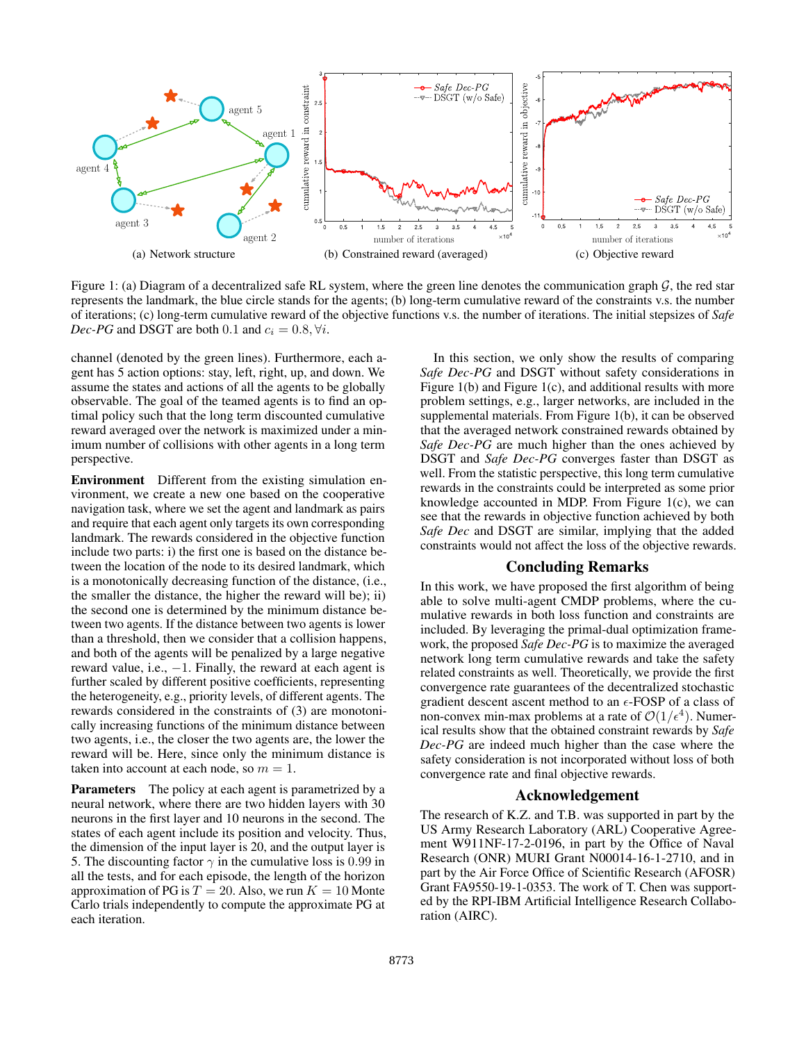

Figure 1: (a) Diagram of a decentralized safe RL system, where the green line denotes the communication graph  $G$ , the red star represents the landmark, the blue circle stands for the agents; (b) long-term cumulative reward of the constraints v.s. the number of iterations; (c) long-term cumulative reward of the objective functions v.s. the number of iterations. The initial stepsizes of *Safe Dec-PG* and DSGT are both 0.1 and  $c_i = 0.8$ ,  $\forall i$ .

channel (denoted by the green lines). Furthermore, each agent has 5 action options: stay, left, right, up, and down. We assume the states and actions of all the agents to be globally observable. The goal of the teamed agents is to find an optimal policy such that the long term discounted cumulative reward averaged over the network is maximized under a minimum number of collisions with other agents in a long term perspective.

Environment Different from the existing simulation environment, we create a new one based on the cooperative navigation task, where we set the agent and landmark as pairs and require that each agent only targets its own corresponding landmark. The rewards considered in the objective function include two parts: i) the first one is based on the distance between the location of the node to its desired landmark, which is a monotonically decreasing function of the distance, (i.e., the smaller the distance, the higher the reward will be); ii) the second one is determined by the minimum distance between two agents. If the distance between two agents is lower than a threshold, then we consider that a collision happens, and both of the agents will be penalized by a large negative reward value, i.e.,  $-1$ . Finally, the reward at each agent is further scaled by different positive coefficients, representing the heterogeneity, e.g., priority levels, of different agents. The rewards considered in the constraints of (3) are monotonically increasing functions of the minimum distance between two agents, i.e., the closer the two agents are, the lower the reward will be. Here, since only the minimum distance is taken into account at each node, so  $m = 1$ .

Parameters The policy at each agent is parametrized by a neural network, where there are two hidden layers with 30 neurons in the first layer and 10 neurons in the second. The states of each agent include its position and velocity. Thus, the dimension of the input layer is 20, and the output layer is 5. The discounting factor  $\gamma$  in the cumulative loss is 0.99 in all the tests, and for each episode, the length of the horizon approximation of PG is  $T = 20$ . Also, we run  $K = 10$  Monte Carlo trials independently to compute the approximate PG at each iteration.

In this section, we only show the results of comparing *Safe Dec-PG* and DSGT without safety considerations in Figure 1(b) and Figure 1(c), and additional results with more problem settings, e.g., larger networks, are included in the supplemental materials. From Figure 1(b), it can be observed that the averaged network constrained rewards obtained by *Safe Dec-PG* are much higher than the ones achieved by DSGT and *Safe Dec-PG* converges faster than DSGT as well. From the statistic perspective, this long term cumulative rewards in the constraints could be interpreted as some prior knowledge accounted in MDP. From Figure 1(c), we can see that the rewards in objective function achieved by both *Safe Dec* and DSGT are similar, implying that the added constraints would not affect the loss of the objective rewards.

# Concluding Remarks

In this work, we have proposed the first algorithm of being able to solve multi-agent CMDP problems, where the cumulative rewards in both loss function and constraints are included. By leveraging the primal-dual optimization framework, the proposed *Safe Dec-PG* is to maximize the averaged network long term cumulative rewards and take the safety related constraints as well. Theoretically, we provide the first convergence rate guarantees of the decentralized stochastic gradient descent ascent method to an  $\epsilon$ -FOSP of a class of non-convex min-max problems at a rate of  $\mathcal{O}(1/\epsilon^4)$ . Numerical results show that the obtained constraint rewards by *Safe Dec-PG* are indeed much higher than the case where the safety consideration is not incorporated without loss of both convergence rate and final objective rewards.

## Acknowledgement

The research of K.Z. and T.B. was supported in part by the US Army Research Laboratory (ARL) Cooperative Agreement W911NF-17-2-0196, in part by the Office of Naval Research (ONR) MURI Grant N00014-16-1-2710, and in part by the Air Force Office of Scientific Research (AFOSR) Grant FA9550-19-1-0353. The work of T. Chen was supported by the RPI-IBM Artificial Intelligence Research Collaboration (AIRC).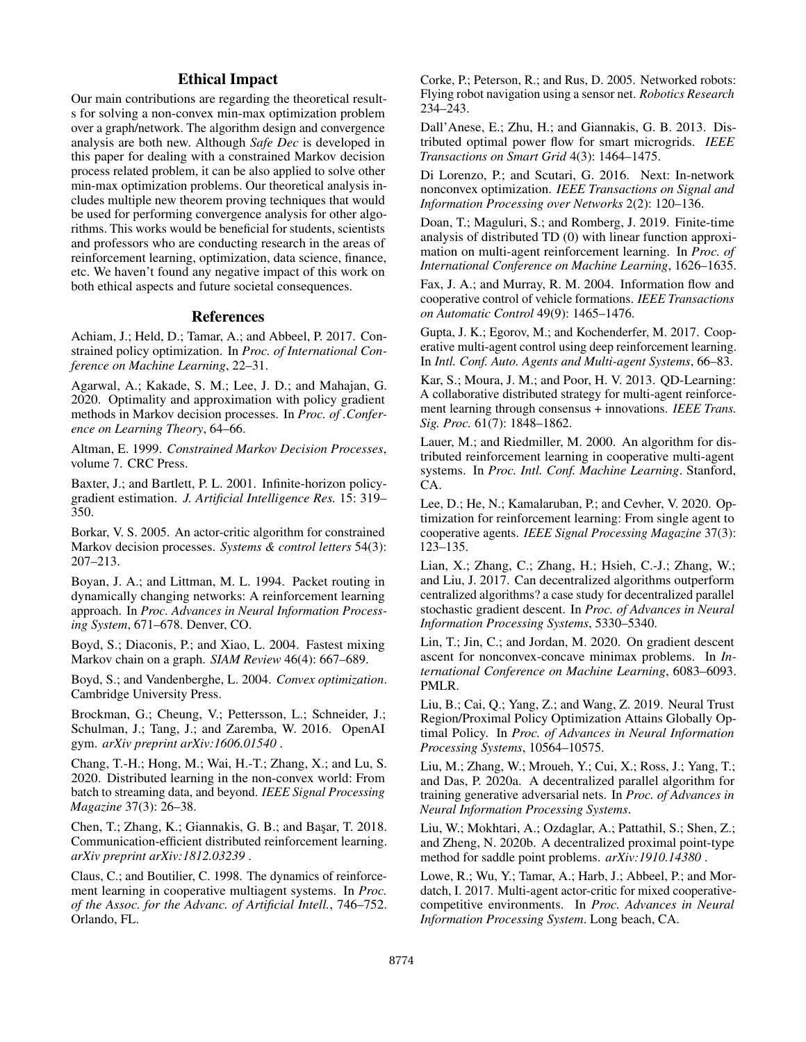# Ethical Impact

Our main contributions are regarding the theoretical results for solving a non-convex min-max optimization problem over a graph/network. The algorithm design and convergence analysis are both new. Although *Safe Dec* is developed in this paper for dealing with a constrained Markov decision process related problem, it can be also applied to solve other min-max optimization problems. Our theoretical analysis includes multiple new theorem proving techniques that would be used for performing convergence analysis for other algorithms. This works would be beneficial for students, scientists and professors who are conducting research in the areas of reinforcement learning, optimization, data science, finance, etc. We haven't found any negative impact of this work on both ethical aspects and future societal consequences.

## References

Achiam, J.; Held, D.; Tamar, A.; and Abbeel, P. 2017. Constrained policy optimization. In *Proc. of International Conference on Machine Learning*, 22–31.

Agarwal, A.; Kakade, S. M.; Lee, J. D.; and Mahajan, G. 2020. Optimality and approximation with policy gradient methods in Markov decision processes. In *Proc. of .Conference on Learning Theory*, 64–66.

Altman, E. 1999. *Constrained Markov Decision Processes*, volume 7. CRC Press.

Baxter, J.; and Bartlett, P. L. 2001. Infinite-horizon policygradient estimation. *J. Artificial Intelligence Res.* 15: 319– 350.

Borkar, V. S. 2005. An actor-critic algorithm for constrained Markov decision processes. *Systems & control letters* 54(3): 207–213.

Boyan, J. A.; and Littman, M. L. 1994. Packet routing in dynamically changing networks: A reinforcement learning approach. In *Proc. Advances in Neural Information Processing System*, 671–678. Denver, CO.

Boyd, S.; Diaconis, P.; and Xiao, L. 2004. Fastest mixing Markov chain on a graph. *SIAM Review* 46(4): 667–689.

Boyd, S.; and Vandenberghe, L. 2004. *Convex optimization*. Cambridge University Press.

Brockman, G.; Cheung, V.; Pettersson, L.; Schneider, J.; Schulman, J.; Tang, J.; and Zaremba, W. 2016. OpenAI gym. *arXiv preprint arXiv:1606.01540* .

Chang, T.-H.; Hong, M.; Wai, H.-T.; Zhang, X.; and Lu, S. 2020. Distributed learning in the non-convex world: From batch to streaming data, and beyond. *IEEE Signal Processing Magazine* 37(3): 26–38.

Chen, T.; Zhang, K.; Giannakis, G. B.; and Basar, T. 2018. Communication-efficient distributed reinforcement learning. *arXiv preprint arXiv:1812.03239* .

Claus, C.; and Boutilier, C. 1998. The dynamics of reinforcement learning in cooperative multiagent systems. In *Proc. of the Assoc. for the Advanc. of Artificial Intell.*, 746–752. Orlando, FL.

Corke, P.; Peterson, R.; and Rus, D. 2005. Networked robots: Flying robot navigation using a sensor net. *Robotics Research* 234–243.

Dall'Anese, E.; Zhu, H.; and Giannakis, G. B. 2013. Distributed optimal power flow for smart microgrids. *IEEE Transactions on Smart Grid* 4(3): 1464–1475.

Di Lorenzo, P.; and Scutari, G. 2016. Next: In-network nonconvex optimization. *IEEE Transactions on Signal and Information Processing over Networks* 2(2): 120–136.

Doan, T.; Maguluri, S.; and Romberg, J. 2019. Finite-time analysis of distributed TD (0) with linear function approximation on multi-agent reinforcement learning. In *Proc. of International Conference on Machine Learning*, 1626–1635.

Fax, J. A.; and Murray, R. M. 2004. Information flow and cooperative control of vehicle formations. *IEEE Transactions on Automatic Control* 49(9): 1465–1476.

Gupta, J. K.; Egorov, M.; and Kochenderfer, M. 2017. Cooperative multi-agent control using deep reinforcement learning. In *Intl. Conf. Auto. Agents and Multi-agent Systems*, 66–83.

Kar, S.; Moura, J. M.; and Poor, H. V. 2013. QD-Learning: A collaborative distributed strategy for multi-agent reinforcement learning through consensus + innovations. *IEEE Trans. Sig. Proc.* 61(7): 1848–1862.

Lauer, M.; and Riedmiller, M. 2000. An algorithm for distributed reinforcement learning in cooperative multi-agent systems. In *Proc. Intl. Conf. Machine Learning*. Stanford, CA.

Lee, D.; He, N.; Kamalaruban, P.; and Cevher, V. 2020. Optimization for reinforcement learning: From single agent to cooperative agents. *IEEE Signal Processing Magazine* 37(3): 123–135.

Lian, X.; Zhang, C.; Zhang, H.; Hsieh, C.-J.; Zhang, W.; and Liu, J. 2017. Can decentralized algorithms outperform centralized algorithms? a case study for decentralized parallel stochastic gradient descent. In *Proc. of Advances in Neural Information Processing Systems*, 5330–5340.

Lin, T.; Jin, C.; and Jordan, M. 2020. On gradient descent ascent for nonconvex-concave minimax problems. In *International Conference on Machine Learning*, 6083–6093. PMLR.

Liu, B.; Cai, Q.; Yang, Z.; and Wang, Z. 2019. Neural Trust Region/Proximal Policy Optimization Attains Globally Optimal Policy. In *Proc. of Advances in Neural Information Processing Systems*, 10564–10575.

Liu, M.; Zhang, W.; Mroueh, Y.; Cui, X.; Ross, J.; Yang, T.; and Das, P. 2020a. A decentralized parallel algorithm for training generative adversarial nets. In *Proc. of Advances in Neural Information Processing Systems*.

Liu, W.; Mokhtari, A.; Ozdaglar, A.; Pattathil, S.; Shen, Z.; and Zheng, N. 2020b. A decentralized proximal point-type method for saddle point problems. *arXiv:1910.14380* .

Lowe, R.; Wu, Y.; Tamar, A.; Harb, J.; Abbeel, P.; and Mordatch, I. 2017. Multi-agent actor-critic for mixed cooperativecompetitive environments. In *Proc. Advances in Neural Information Processing System*. Long beach, CA.